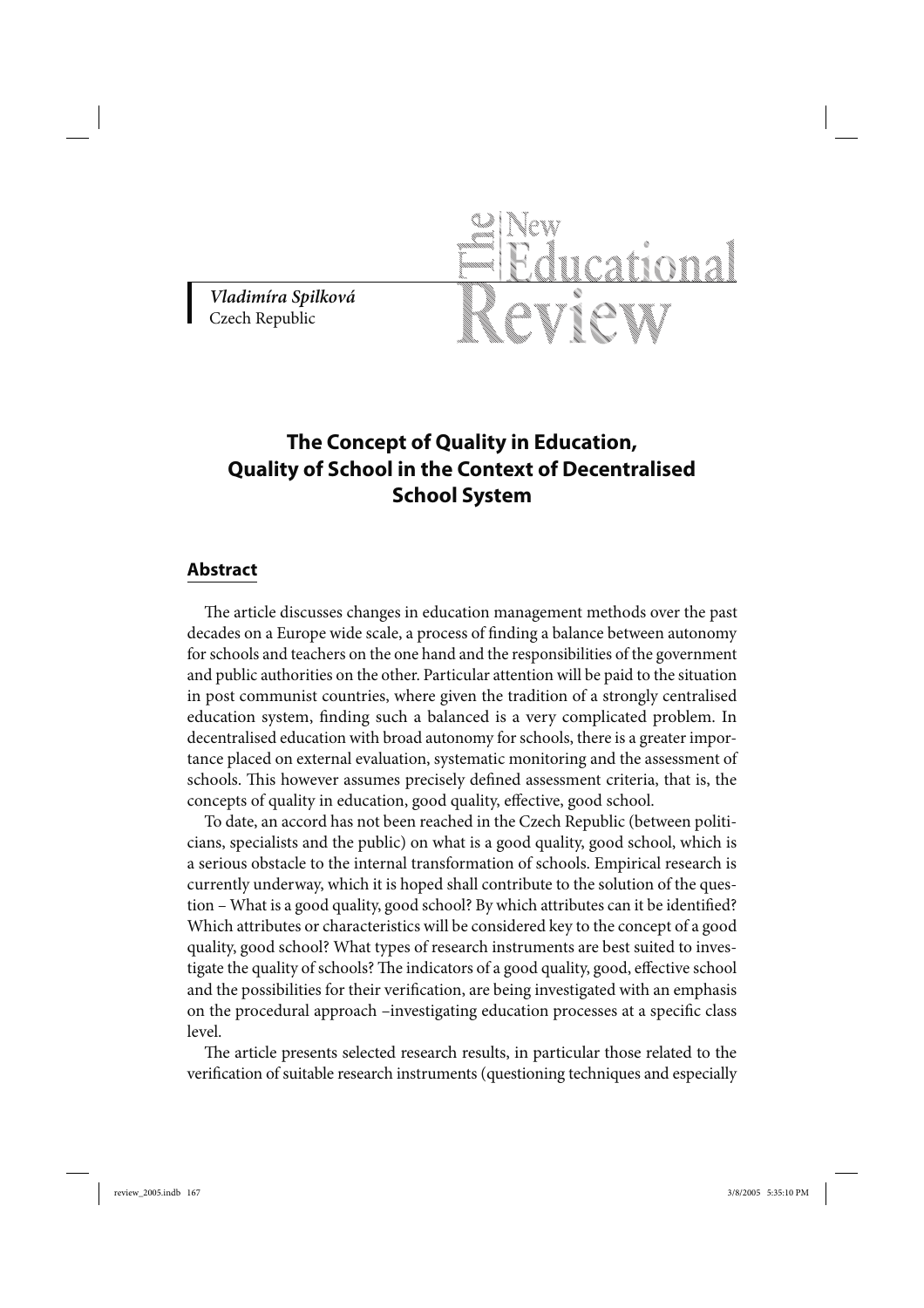*Vladimíra Spilková* Czech Republic

## **The Concept of Quality in Education, Quality of School in the Context of Decentralised School System**

## **Abstract**

The article discusses changes in education management methods over the past decades on a Europe wide scale, a process of finding a balance between autonomy for schools and teachers on the one hand and the responsibilities of the government and public authorities on the other. Particular attention will be paid to the situation in post communist countries, where given the tradition of a strongly centralised education system, finding such a balanced is a very complicated problem. In decentralised education with broad autonomy for schools, there is a greater importance placed on external evaluation, systematic monitoring and the assessment of schools. This however assumes precisely defined assessment criteria, that is, the concepts of quality in education, good quality, effective, good school.

To date, an accord has not been reached in the Czech Republic (between politicians, specialists and the public) on what is a good quality, good school, which is a serious obstacle to the internal transformation of schools. Empirical research is currently underway, which it is hoped shall contribute to the solution of the question – What is a good quality, good school? By which attributes can it be identified? Which attributes or characteristics will be considered key to the concept of a good quality, good school? What types of research instruments are best suited to investigate the quality of schools? The indicators of a good quality, good, effective school and the possibilities for their verification, are being investigated with an emphasis on the procedural approach –investigating education processes at a specific class level.

The article presents selected research results, in particular those related to the verification of suitable research instruments (questioning techniques and especially